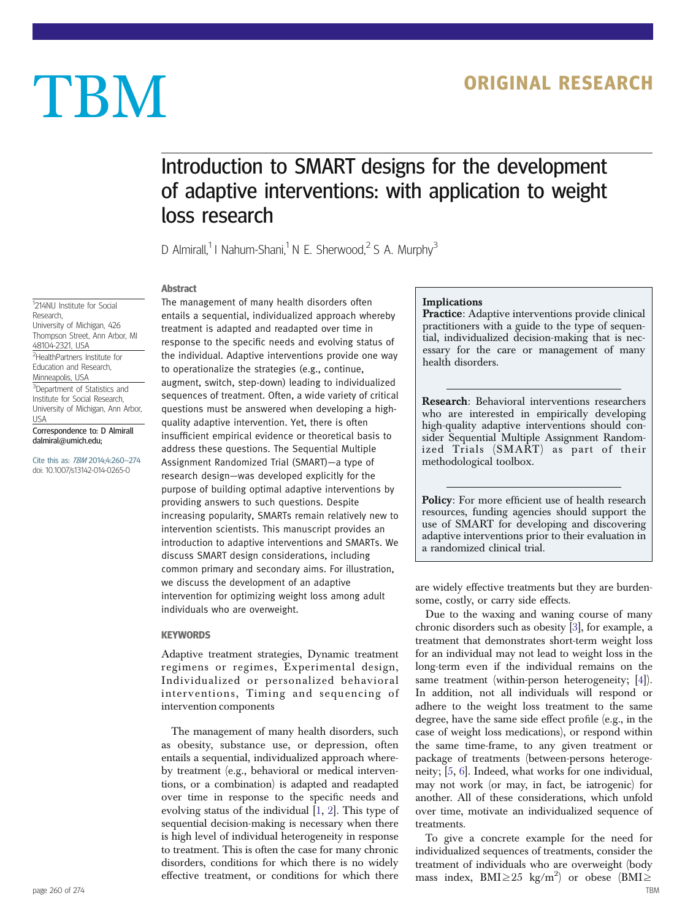# TBM ORIGINAL RESEARCH

# Introduction to SMART designs for the development of adaptive interventions: with application to weight loss research

D Almirall,<sup>1</sup> I Nahum-Shani,<sup>1</sup> N E. Sherwood,<sup>2</sup> S A. Murphy<sup>3</sup>

#### **Abstract**

1 214NU Institute for Social Research, University of Michigan, 426 Thompson Street, Ann Arbor, MI 48104-2321, USA

<sup>2</sup>HealthPartners Institute for Education and Research, Minneapolis, USA

<sup>3</sup>Department of Statistics and Institute for Social Research, University of Michigan, Ann Arbor, USA

Correspondence to: D Almirall dalmiral@umich.edu;

Cite this as: TBM 2014;4:260–274 doi: 10.1007/s13142-014-0265-0

The management of many health disorders often entails a sequential, individualized approach whereby treatment is adapted and readapted over time in response to the specific needs and evolving status of the individual. Adaptive interventions provide one way to operationalize the strategies (e.g., continue, augment, switch, step-down) leading to individualized sequences of treatment. Often, a wide variety of critical questions must be answered when developing a highquality adaptive intervention. Yet, there is often insufficient empirical evidence or theoretical basis to address these questions. The Sequential Multiple Assignment Randomized Trial (SMART)—a type of research design—was developed explicitly for the purpose of building optimal adaptive interventions by providing answers to such questions. Despite increasing popularity, SMARTs remain relatively new to intervention scientists. This manuscript provides an introduction to adaptive interventions and SMARTs. We discuss SMART design considerations, including common primary and secondary aims. For illustration, we discuss the development of an adaptive intervention for optimizing weight loss among adult individuals who are overweight.

#### **KEYWORDS**

Adaptive treatment strategies, Dynamic treatment regimens or regimes, Experimental design, Individualized or personalized behavioral interventions, Timing and sequencing of intervention components

The management of many health disorders, such as obesity, substance use, or depression, often entails a sequential, individualized approach whereby treatment (e.g., behavioral or medical interventions, or a combination) is adapted and readapted over time in response to the specific needs and evolving status of the individual [[1](#page-12-0), [2\]](#page-12-0). This type of sequential decision-making is necessary when there is high level of individual heterogeneity in response to treatment. This is often the case for many chronic disorders, conditions for which there is no widely effective treatment, or conditions for which there

#### Implications

Practice: Adaptive interventions provide clinical practitioners with a guide to the type of sequential, individualized decision-making that is necessary for the care or management of many health disorders.

Research: Behavioral interventions researchers who are interested in empirically developing high-quality adaptive interventions should consider Sequential Multiple Assignment Randomized Trials (SMART) as part of their methodological toolbox.

Policy: For more efficient use of health research resources, funding agencies should support the use of SMART for developing and discovering adaptive interventions prior to their evaluation in a randomized clinical trial.

are widely effective treatments but they are burdensome, costly, or carry side effects.

Due to the waxing and waning course of many chronic disorders such as obesity [\[3\]](#page-12-0), for example, a treatment that demonstrates short-term weight loss for an individual may not lead to weight loss in the long-term even if the individual remains on the same treatment (within-person heterogeneity; [[4](#page-12-0)]). In addition, not all individuals will respond or adhere to the weight loss treatment to the same degree, have the same side effect profile (e.g., in the case of weight loss medications), or respond within the same time-frame, to any given treatment or package of treatments (between-persons heterogeneity; [[5,](#page-12-0) [6\]](#page-12-0). Indeed, what works for one individual, may not work (or may, in fact, be iatrogenic) for another. All of these considerations, which unfold over time, motivate an individualized sequence of treatments.

To give a concrete example for the need for individualized sequences of treatments, consider the treatment of individuals who are overweight (body mass index, BMI≥25 kg/m<sup>2</sup>) or obese (BMI≥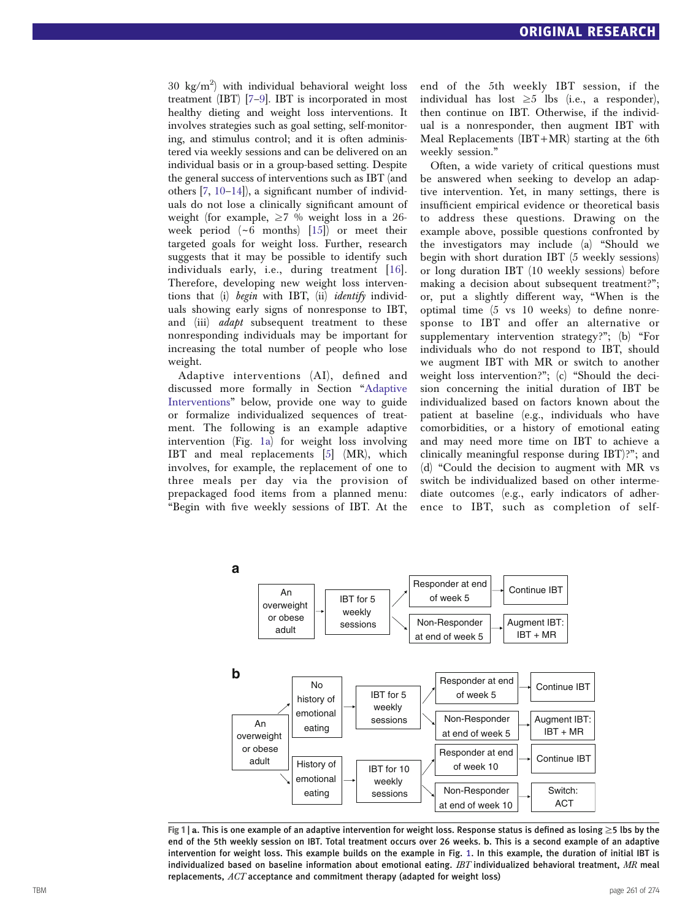<span id="page-1-0"></span> $30 \text{ kg/m}^2$ ) with individual behavioral weight loss treatment (IBT) [\[7](#page-13-0)–[9\]](#page-13-0). IBT is incorporated in most healthy dieting and weight loss interventions. It involves strategies such as goal setting, self-monitoring, and stimulus control; and it is often administered via weekly sessions and can be delivered on an individual basis or in a group-based setting. Despite the general success of interventions such as IBT (and others [\[7,](#page-13-0) [10](#page-13-0)–[14](#page-13-0)]), a significant number of individuals do not lose a clinically significant amount of weight (for example,  $\geq 7$  % weight loss in a 26week period  $({\sim}6$  months) [[15\]](#page-13-0)) or meet their targeted goals for weight loss. Further, research suggests that it may be possible to identify such individuals early, i.e., during treatment [[16\]](#page-13-0). Therefore, developing new weight loss interventions that (i) begin with IBT, (ii) identify individuals showing early signs of nonresponse to IBT, and (iii) *adapt* subsequent treatment to these nonresponding individuals may be important for increasing the total number of people who lose weight.

Adaptive interventions (AI), defined and discussed more formally in Section "[Adaptive](#page-2-0) [Interventions](#page-2-0)" below, provide one way to guide or formalize individualized sequences of treatment. The following is an example adaptive intervention (Fig. 1a) for weight loss involving IBT and meal replacements [[5\]](#page-12-0) (MR), which involves, for example, the replacement of one to three meals per day via the provision of prepackaged food items from a planned menu: "Begin with five weekly sessions of IBT. At the end of the 5th weekly IBT session, if the individual has lost  $\geq 5$  lbs (i.e., a responder), then continue on IBT. Otherwise, if the individual is a nonresponder, then augment IBT with Meal Replacements (IBT+MR) starting at the 6th weekly session."

Often, a wide variety of critical questions must be answered when seeking to develop an adaptive intervention. Yet, in many settings, there is insufficient empirical evidence or theoretical basis to address these questions. Drawing on the example above, possible questions confronted by the investigators may include (a) "Should we begin with short duration IBT (5 weekly sessions) or long duration IBT (10 weekly sessions) before making a decision about subsequent treatment?"; or, put a slightly different way, "When is the optimal time (5 vs 10 weeks) to define nonresponse to IBT and offer an alternative or supplementary intervention strategy?"; (b) "For individuals who do not respond to IBT, should we augment IBT with MR or switch to another weight loss intervention?"; (c) "Should the decision concerning the initial duration of IBT be individualized based on factors known about the patient at baseline (e.g., individuals who have comorbidities, or a history of emotional eating and may need more time on IBT to achieve a clinically meaningful response during IBT)?"; and (d) "Could the decision to augment with MR vs switch be individualized based on other intermediate outcomes (e.g., early indicators of adherence to IBT, such as completion of self-



Fig 1 <sup>|</sup> <sup>a</sup>. This is one example of an adaptive intervention for weight loss. Response status is defined as losing <sup>≥</sup>5 lbs by the end of the 5th weekly session on IBT. Total treatment occurs over 26 weeks. b. This is a second example of an adaptive intervention for weight loss. This example builds on the example in Fig. 1. In this example, the duration of initial IBT is individualized based on baseline information about emotional eating.  $IBT$  individualized behavioral treatment,  $MR$  meal replacements, ACT acceptance and commitment therapy (adapted for weight loss)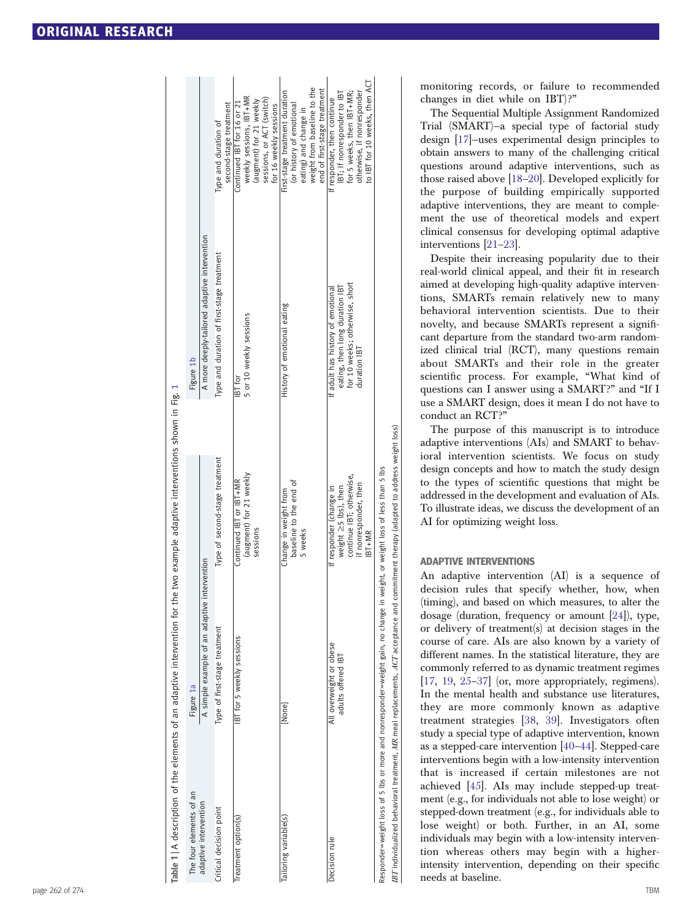<span id="page-2-0"></span>

| The four elements of an | Figure 1a                                                                                                                   |                                                                                                                            | Figure 1b                                                                                                             |                                                                                                                                                       |
|-------------------------|-----------------------------------------------------------------------------------------------------------------------------|----------------------------------------------------------------------------------------------------------------------------|-----------------------------------------------------------------------------------------------------------------------|-------------------------------------------------------------------------------------------------------------------------------------------------------|
| adaptive intervention   | ntervention<br>A simple example of an adaptive                                                                              |                                                                                                                            | A more deeply-tailored adaptive intervention                                                                          |                                                                                                                                                       |
| Critical decision point | Type of first-stage treatment                                                                                               | Type of second-stage treatment                                                                                             | Type and duration of first-stage treatment                                                                            | second-stage treatment<br>Type and duration of                                                                                                        |
| Treatment option(s)     | IBT for 5 weekly sessions                                                                                                   | (augment) for 21 weekly<br>Continued IBT or IBT+MR                                                                         | 5 or 10 weekly sessions<br>IBT for                                                                                    | weekly sessions, IBT+MR<br>Continued IBT for 16 or 21                                                                                                 |
|                         |                                                                                                                             | sessions                                                                                                                   |                                                                                                                       | sessions, or ACT (switch)<br>(augment) for 21 weekly<br>for 16 weekly sessions                                                                        |
| Tailoring variable(s)   | [None]                                                                                                                      | baseline to the end of<br>Change in weight from<br>5 weeks                                                                 | History of emotional eating                                                                                           | weight from baseline to the<br>end of first-stage treatment<br>First-stage treatment duration<br>(or history of emotional<br>eating) and change in    |
| Decision rule           | All overweight or obese<br>adults offered IBT                                                                               | continue IBT; otherwise,<br>if nonresponder, then<br>weight $\geq$ 5 lbs), then<br>If responder (change in<br><b>BT+MR</b> | for 10 weeks; otherwise, short<br>eating, then long duration IBT<br>If adult has history of emotional<br>duration IBT | to IBT for 10 weeks, then ACT<br>for 5 weeks, then IBT+MR;<br>otherwise, if nonresponder<br>IBT; If nonresponder to IBT<br>f responder, then continue |
|                         | Responder=weight loss of 5 lbs or more and nonresponder=weight gain, no change in weight, or weight loss of less than 5 lbs |                                                                                                                            |                                                                                                                       |                                                                                                                                                       |

individualized behavioral treatment, MR meal replacements,  $ACT$  acceptance and commitment therapy (adapted to address weight loss) IBT individualized behavioral treatment, MR meal replacements, ACT acceptance and commitment therapy (adapted to address weight loss)  $BT$  monitoring records, or failure to recommended changes in diet while on IBT)?"

The Sequential Multiple Assignment Randomized Trial (SMART)—a special type of factorial study design [\[17](#page-13-0)]—uses experimental design principles to obtain answers to many of the challenging critical questions around adaptive interventions, such as those raised above [[18](#page-13-0)–[20\]](#page-13-0). Developed explicitly for the purpose of building empirically supported adaptive interventions, they are meant to complement the use of theoretical models and expert clinical consensus for developing optimal adaptive interventions [\[21](#page-13-0)–[23\]](#page-13-0).

Despite their increasing popularity due to their real-world clinical appeal, and their fit in research aimed at developing high-quality adaptive interventions, SMARTs remain relatively new to many behavioral intervention scientists. Due to their novelty, and because SMARTs represent a significant departure from the standard two-arm randomized clinical trial (RCT), many questions remain about SMARTs and their role in the greater scientific process. For example, "What kind of questions can I answer using a SMART?" and "If I use a SMART design, does it mean I do not have to conduct an RCT?"

The purpose of this manuscript is to introduce adaptive interventions (AIs) and SMART to behavioral intervention scientists. We focus on study design concepts and how to match the study design to the types of scientific questions that might be addressed in the development and evaluation of AIs. To illustrate ideas, we discuss the development of an AI for optimizing weight loss.

## **ADAPTIVE INTERVENTIONS**

An adaptive intervention (AI) is a sequence of decision rules that specify whether, how, when (timing), and based on which measures, to alter the dosage (duration, frequency or amount [\[24](#page-13-0)]), type, or delivery of treatment(s) at decision stages in the course of care. AIs are also known by a variety of different names. In the statistical literature, they are commonly referred to as dynamic treatment regimes [\[17,](#page-13-0) [19,](#page-13-0) [25](#page-13-0)–[37\]](#page-13-0) (or, more appropriately, regimens). In the mental health and substance use literatures, they are more commonly known as adaptive treatment strategies [[38,](#page-13-0) [39\]](#page-13-0). Investigators often study a special type of adaptive intervention, known as a stepped-care intervention [\[40](#page-13-0)–[44](#page-13-0)]. Stepped-care interventions begin with a low-intensity intervention that is increased if certain milestones are not achieved [[45\]](#page-13-0). AIs may include stepped-up treatment (e.g., for individuals not able to lose weight) or stepped-down treatment (e.g., for individuals able to lose weight) or both. Further, in an AI, some individuals may begin with a low-intensity intervention whereas others may begin with a higherintensity intervention, depending on their specific needs at baseline.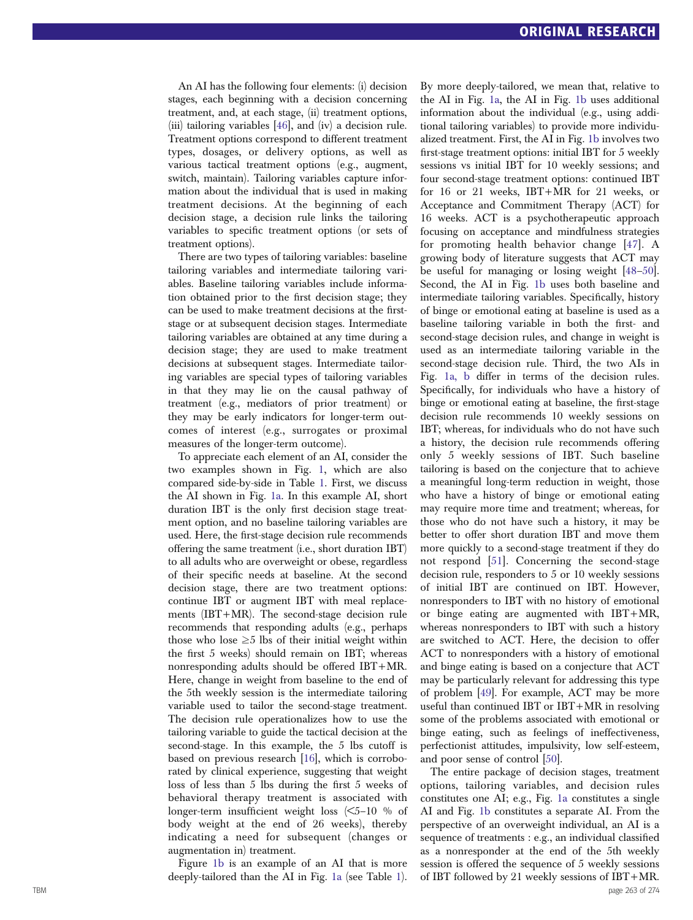An AI has the following four elements: (i) decision stages, each beginning with a decision concerning treatment, and, at each stage, (ii) treatment options, (iii) tailoring variables [[46](#page-13-0)], and (iv) a decision rule. Treatment options correspond to different treatment types, dosages, or delivery options, as well as various tactical treatment options (e.g., augment, switch, maintain). Tailoring variables capture information about the individual that is used in making treatment decisions. At the beginning of each decision stage, a decision rule links the tailoring variables to speci fic treatment options (or sets of treatment options).

There are two types of tailoring variables: baseline tailoring variables and intermediate tailoring variables. Baseline tailoring variables include information obtained prior to the first decision stage; they can be used to make treatment decisions at the firststage or at subsequent decision stages. Intermediate tailoring variables are obtained at any time during a decision stage; they are used to make treatment decisions at subsequent stages. Intermediate tailoring variables are special types of tailoring variables in that they may lie on the causal pathway of treatment (e.g., mediators of prior treatment) or they may be early indicators for longer-term outcomes of interest (e.g., surrogates or proximal measures of the longer-term outcome).

To appreciate each element of an AI, consider the two examples shown in Fig. [1,](#page-1-0) which are also compared side-by-side in Table [1](#page-2-0). First, we discuss the AI shown in Fig. [1a.](#page-1-0) In this example AI, short duration IBT is the only first decision stage treatment option, and no baseline tailoring variables are used. Here, the first-stage decision rule recommends offering the same treatment (i.e., short duration IBT) to all adults who are overweight or obese, regardless of their speci fic needs at baseline. At the second decision stage, there are two treatment options: continue IBT or augment IBT with meal replacements (IBT+MR). The second-stage decision rule recommends that responding adults (e.g., perhaps those who lose ≥5 lbs of their initial weight within the first 5 weeks) should remain on IBT; whereas nonresponding adults should be offered IBT+MR. Here, change in weight from baseline to the end of the 5th weekly session is the intermediate tailoring variable used to tailor the second-stage treatment. The decision rule operationalizes how to use the tailoring variable to guide the tactical decision at the second-stage. In this example, the 5 lbs cutoff is based on previous research [[16\]](#page-13-0), which is corroborated by clinical experience, suggesting that weight loss of less than 5 lbs during the first 5 weeks of behavioral therapy treatment is associated with longer-term insufficient weight loss (<5 –10 % of body weight at the end of 26 weeks), thereby indicating a need for subsequent (changes or augmentation in) treatment.

Figure [1b](#page-1-0) is an example of an AI that is more deeply-tailored than the AI in Fig. [1a](#page-1-0) (see Table [1](#page-2-0)).

By more deeply-tailored, we mean that, relative to the AI in Fig. [1a,](#page-1-0) the AI in Fig. [1b](#page-1-0) uses additional information about the individual (e.g., using additional tailoring variables) to provide more individualized treatment. First, the AI in Fig. [1b](#page-1-0) involves two first-stage treatment options: initial IBT for 5 weekly sessions vs initial IBT for 10 weekly sessions; and four second-stage treatment options: continued IBT for 16 or 21 weeks, IBT+MR for 21 weeks, or Acceptance and Commitment Therapy (ACT) for 16 weeks. ACT is a psychotherapeutic approach focusing on acceptance and mindfulness strategies for promoting health behavior change [[47\]](#page-13-0). A growing body of literature suggests that ACT may be useful for managing or losing weight [[48](#page-13-0) –[50\]](#page-13-0). Second, the AI in Fig. [1b](#page-1-0) uses both baseline and intermediate tailoring variables. Speci fically, history of binge or emotional eating at baseline is used as a baseline tailoring variable in both the first- and second-stage decision rules, and change in weight is used as an intermediate tailoring variable in the second-stage decision rule. Third, the two AIs in Fig. [1a, b](#page-1-0) differ in terms of the decision rules. Speci fically, for individuals who have a history of binge or emotional eating at baseline, the first-stage decision rule recommends 10 weekly sessions on IBT; whereas, for individuals who do not have such a history, the decision rule recommends offering only 5 weekly sessions of IBT. Such baseline tailoring is based on the conjecture that to achieve a meaningful long-term reduction in weight, those who have a history of binge or emotional eating may require more time and treatment; whereas, for those who do not have such a history, it may be better to offer short duration IBT and move them more quickly to a second-stage treatment if they do not respond [\[51](#page-13-0)]. Concerning the second-stage decision rule, responders to 5 or 10 weekly sessions of initial IBT are continued on IBT. However, nonresponders to IBT with no history of emotional or binge eating are augmented with IBT+MR, whereas nonresponders to IBT with such a history are switched to ACT. Here, the decision to offer ACT to nonresponders with a history of emotional and binge eating is based on a conjecture that ACT may be particularly relevant for addressing this type of problem [[49](#page-13-0)]. For example, ACT may be more useful than continued IBT or IBT+MR in resolving some of the problems associated with emotional or binge eating, such as feelings of ineffectiveness, perfectionist attitudes, impulsivity, low self-esteem, and poor sense of control [\[50\]](#page-13-0).

The entire package of decision stages, treatment options, tailoring variables, and decision rules constitutes one AI; e.g., Fig. [1a](#page-1-0) constitutes a single AI and Fig. [1b](#page-1-0) constitutes a separate AI. From the perspective of an overweight individual, an AI is a sequence of treatments : e.g., an individual classi fied as a nonresponder at the end of the 5th weekly session is offered the sequence of 5 weekly sessions of IBT followed by 21 weekly sessions of IBT+MR.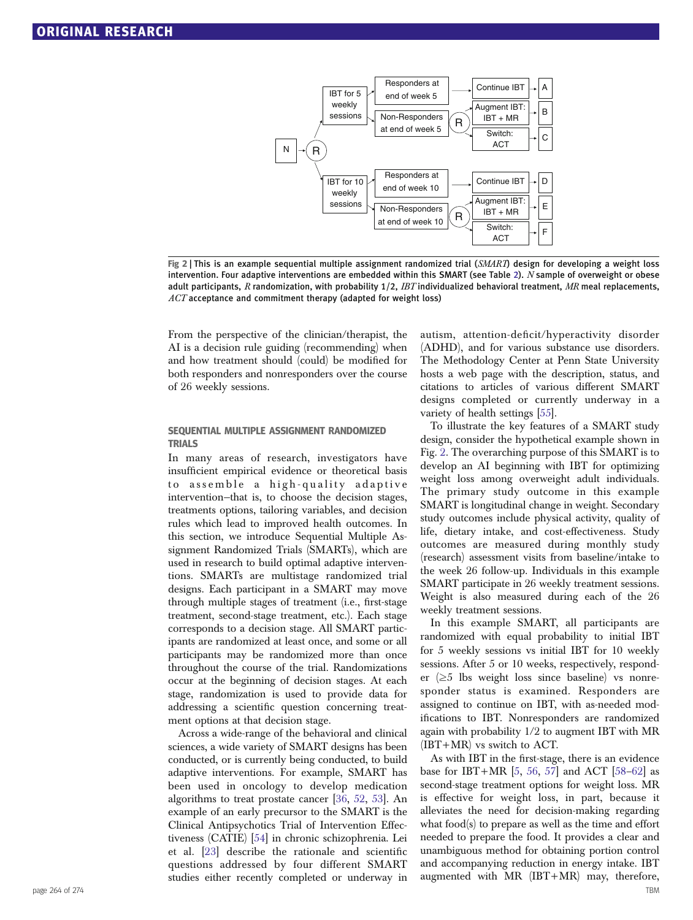<span id="page-4-0"></span>

Fig 2 | This is an example sequential multiple assignment randomized trial  $(SMART)$  design for developing a weight loss intervention. Four adaptive interventions are embedded within this SMART (see Table [2\)](#page-5-0). N sample of overweight or obese adult participants, R randomization, with probability  $1/2$ ,  $IBT$  individualized behavioral treatment,  $MR$  meal replacements, ACT acceptance and commitment therapy (adapted for weight loss)

From the perspective of the clinician/therapist, the AI is a decision rule guiding (recommending) when and how treatment should (could) be modified for both responders and nonresponders over the course of 26 weekly sessions.

### SEQUENTIAL MULTIPLE ASSIGNMENT RANDOMIZED SED ASSIGNMENT RANDOMIZED ASSIGNMENT RANDOMIZED ASSIGNMENT RANDOMIZED ASSIGNMENT RANDOMIZED ASSIGNMENT RANDOMIZED ASSIGNMENT RANDOMIZED ASSIGNMENT RANDOMIZED ASSIGNMENT RANDOMIZED ASSIGNMENT RANDOMIZED ASSIGNMENT RANDOMIZE

In many areas of research, investigators have insufficient empirical evidence or theoretical basis to assemble a high-quality adaptive intervention—that is, to choose the decision stages, treatments options, tailoring variables, and decision rules which lead to improved health outcomes. In this section, we introduce Sequential Multiple Assignment Randomized Trials (SMARTs), which are used in research to build optimal adaptive interventions. SMARTs are multistage randomized trial designs. Each participant in a SMART may move through multiple stages of treatment (i.e., first-stage treatment, second-stage treatment, etc.). Each stage corresponds to a decision stage. All SMART participants are randomized at least once, and some or all participants may be randomized more than once throughout the course of the trial. Randomizations occur at the beginning of decision stages. At each stage, randomization is used to provide data for addressing a scientific question concerning treatment options at that decision stage.

Across a wide-range of the behavioral and clinical sciences, a wide variety of SMART designs has been conducted, or is currently being conducted, to build adaptive interventions. For example, SMART has been used in oncology to develop medication algorithms to treat prostate cancer [[36](#page-13-0), [52,](#page-13-0) [53](#page-13-0)]. An example of an early precursor to the SMART is the Clinical Antipsychotics Trial of Intervention Effectiveness (CATIE) [\[54](#page-13-0)] in chronic schizophrenia. Lei et al. [[23\]](#page-13-0) describe the rationale and scientific questions addressed by four different SMART studies either recently completed or underway in

autism, attention-deficit/hyperactivity disorder (ADHD), and for various substance use disorders. The Methodology Center at Penn State University hosts a web page with the description, status, and citations to articles of various different SMART designs completed or currently underway in a variety of health settings [\[55\]](#page-13-0).

To illustrate the key features of a SMART study design, consider the hypothetical example shown in Fig. 2. The overarching purpose of this SMART is to develop an AI beginning with IBT for optimizing weight loss among overweight adult individuals. The primary study outcome in this example SMART is longitudinal change in weight. Secondary study outcomes include physical activity, quality of life, dietary intake, and cost-effectiveness. Study outcomes are measured during monthly study (research) assessment visits from baseline/intake to the week 26 follow-up. Individuals in this example SMART participate in 26 weekly treatment sessions. Weight is also measured during each of the 26 weekly treatment sessions.

In this example SMART, all participants are randomized with equal probability to initial IBT for 5 weekly sessions vs initial IBT for 10 weekly sessions. After 5 or 10 weeks, respectively, responder (≥5 lbs weight loss since baseline) vs nonresponder status is examined. Responders are assigned to continue on IBT, with as-needed modifications to IBT. Nonresponders are randomized again with probability 1/2 to augment IBT with MR (IBT+MR) vs switch to ACT.

As with IBT in the first-stage, there is an evidence base for IBT+MR  $[5, 56, 57]$  $[5, 56, 57]$  $[5, 56, 57]$  $[5, 56, 57]$  $[5, 56, 57]$  and ACT  $[58-62]$  $[58-62]$  $[58-62]$  $[58-62]$  as second-stage treatment options for weight loss. MR is effective for weight loss, in part, because it alleviates the need for decision-making regarding what food(s) to prepare as well as the time and effort needed to prepare the food. It provides a clear and unambiguous method for obtaining portion control and accompanying reduction in energy intake. IBT augmented with MR (IBT+MR) may, therefore,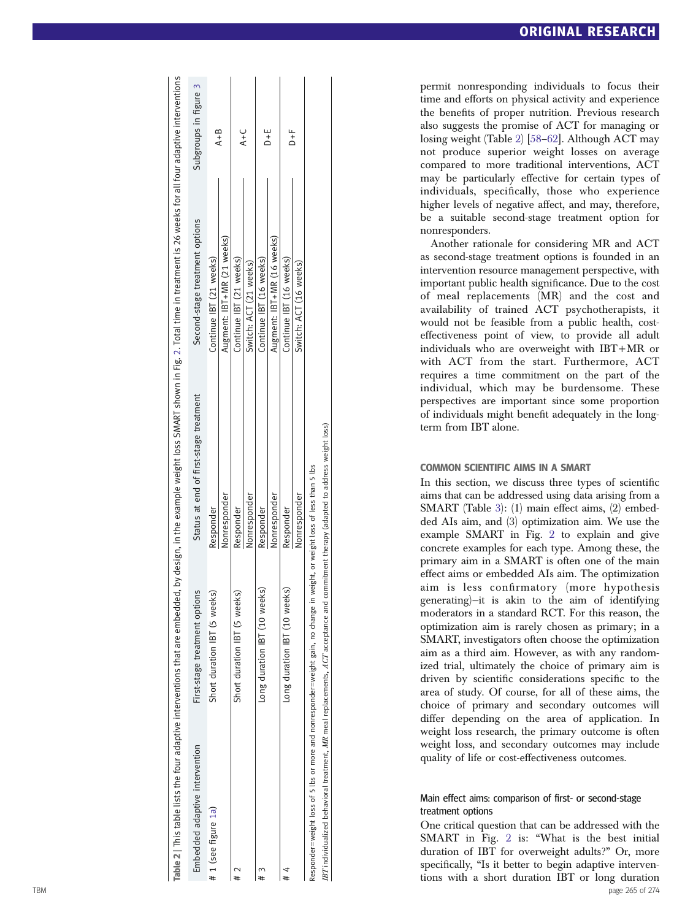<span id="page-5-0"></span>

|                                                                                                  |                                                                                                                             | Table 2   This table lists the four adaptive interventions that are embedded, by design, in the example waright loss SMART shown in Fig. 2. Total time in treatment is 26 weeks for all four adaptive interventions |                                |                           |
|--------------------------------------------------------------------------------------------------|-----------------------------------------------------------------------------------------------------------------------------|---------------------------------------------------------------------------------------------------------------------------------------------------------------------------------------------------------------------|--------------------------------|---------------------------|
| Embedded adaptive intervention                                                                   | First-stage treatment option                                                                                                | Status at end of first-stage treatment                                                                                                                                                                              | Second-stage treatment options | Subgroups in figure 3     |
| #1 (see figure 1a)                                                                               | Short duration IBT (5 weeks)                                                                                                | Responder                                                                                                                                                                                                           | Continue IBT (21 weeks)        | $A + B$                   |
|                                                                                                  |                                                                                                                             | Nonresponder                                                                                                                                                                                                        | Augment: IBT+MR (21 weeks)     |                           |
|                                                                                                  | Short duration IBT (5 weeks)                                                                                                | Responder                                                                                                                                                                                                           | Continue IBT (21 weeks)        |                           |
|                                                                                                  |                                                                                                                             | Nonresponder                                                                                                                                                                                                        | Switch: ACT (21 weeks)         | $\mathbf{A} + \mathbf{C}$ |
|                                                                                                  | Long duration IBT (10 weeks)                                                                                                | Responder                                                                                                                                                                                                           | Continue IBT (16 weeks)        |                           |
|                                                                                                  |                                                                                                                             | Nonresponder                                                                                                                                                                                                        | Augment: IBT+MR (16 weeks)     | $\frac{1}{2}$             |
|                                                                                                  | Long duration IBT (10 weeks)                                                                                                | Responder                                                                                                                                                                                                           | Continue IBT (16 weeks)        | $\frac{1}{1}$             |
|                                                                                                  |                                                                                                                             | Nonresponder                                                                                                                                                                                                        | Switch: ACT (16 weeks)         |                           |
|                                                                                                  | Responder=weight loss of 5 lbs or more and nonresponder=weight gain, no change in weight, or weight loss of less than 5 lbs |                                                                                                                                                                                                                     |                                |                           |
| $B$ T individualized behavioral treatment, $MR$ meal replacements, $ACT$ acceptance and $\alpha$ |                                                                                                                             | commitment therapy (adapted to address weight loss)                                                                                                                                                                 |                                |                           |

nonresponders.

In this section, we discuss three types of scientific aims that can be addressed using data arising from a SMART (Table [3\)](#page-6-0): (1) main effect aims, (2) embedded AIs aim, and (3) optimization aim. We use the example SMART in Fig. [2](#page-4-0) to explain and give concrete examples for each type. Among these, the primary aim in a SMART is often one of the main effect aims or embedded AIs aim. The optimization aim is less con firmatory (more hypothesis generating) —it is akin to the aim of identifying moderators in a standard RCT. For this reason, the optimization aim is rarely chosen as primary; in a SMART, investigators often choose the optimization aim as a third aim. However, as with any randomized trial, ultimately the choice of primary aim is driven by scienti fic considerations speci fic to the area of study. Of course, for all of these aims, the choice of primary and secondary outcomes will differ depending on the area of application. In weight loss research, the primary outcome is often weight loss, and secondary outcomes may include quality of life or cost-effectiveness outcomes.

#### Main effect aims: comparison of first- or second-stage treatment options

One critical question that can be addressed with the SMART in Fig. [2](#page-4-0) is: "What is the best initial duration of IBT for overweight adults? " Or, more speci fically, "Is it better to begin adaptive interventions with a short duration IBT or long duration TBM page 265 of 274

permit nonresponding individuals to focus their time and efforts on physical activity and experience the bene fits of proper nutrition. Previous research also suggests the promise of ACT for managing or losing weight (Table 2) [[58](#page-13-0) –[62](#page-14-0)]. Although ACT may not produce superior weight losses on average compared to more traditional interventions, ACT may be particularly effective for certain types of individuals, speci fically, those who experience higher levels of negative affect, and may, therefore, be a suitable second-stage treatment option for

Another rationale for considering MR and ACT as second-stage treatment options is founded in an intervention resource management perspective, with important public health signi ficance. Due to the cost of meal replacements (MR) and the cost and availability of trained ACT psychotherapists, it would not be feasible from a public health, costeffectiveness point of view, to provide all adult individuals who are overweight with IBT+MR or with ACT from the start. Furthermore, ACT requires a time commitment on the part of the individual, which may be burdensome. These perspectives are important since some proportion of individuals might bene fit adequately in the longterm from IBT alone.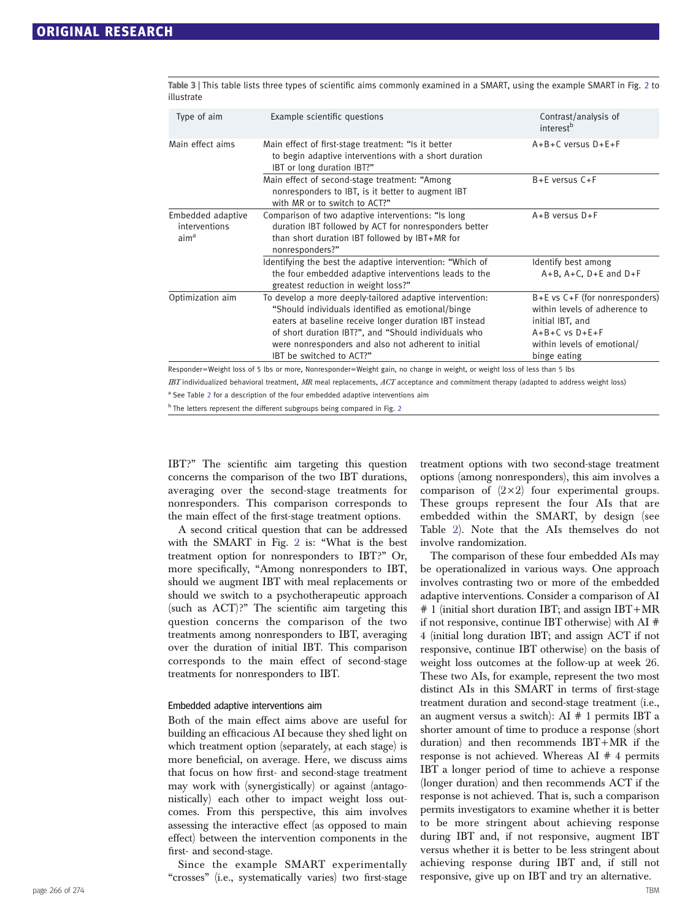| Type of aim                                                   | Example scientific questions                                                                                                                                                                                                                                                                                       | Contrast/analysis of<br>interest <sup>b</sup>                                                                                                            |
|---------------------------------------------------------------|--------------------------------------------------------------------------------------------------------------------------------------------------------------------------------------------------------------------------------------------------------------------------------------------------------------------|----------------------------------------------------------------------------------------------------------------------------------------------------------|
| Main effect aims                                              | Main effect of first-stage treatment: "Is it better<br>to begin adaptive interventions with a short duration<br>IBT or long duration IBT?"                                                                                                                                                                         | $A + B + C$ versus $D + F + F$                                                                                                                           |
|                                                               | Main effect of second-stage treatment: "Among<br>nonresponders to IBT, is it better to augment IBT<br>with MR or to switch to ACT?"                                                                                                                                                                                | $B + F$ versus $C + F$                                                                                                                                   |
| Embedded adaptive<br>interventions<br>$\text{aim}^{\text{a}}$ | Comparison of two adaptive interventions: "Is long<br>duration IBT followed by ACT for nonresponders better<br>than short duration IBT followed by IBT+MR for<br>nonresponders?"                                                                                                                                   | $A + B$ versus $D + F$                                                                                                                                   |
|                                                               | Identifying the best the adaptive intervention: "Which of<br>the four embedded adaptive interventions leads to the<br>greatest reduction in weight loss?"                                                                                                                                                          | Identify best among<br>$A+B$ , $A+C$ , $D+E$ and $D+F$                                                                                                   |
| Optimization aim                                              | To develop a more deeply-tailored adaptive intervention:<br>"Should individuals identified as emotional/binge<br>eaters at baseline receive longer duration IBT instead<br>of short duration IBT?", and "Should individuals who<br>were nonresponders and also not adherent to initial<br>IBT be switched to ACT?" | B+E vs C+F (for nonresponders)<br>within levels of adherence to<br>initial IBT, and<br>$A+B+C$ vs $D+E+F$<br>within levels of emotional/<br>binge eating |

<span id="page-6-0"></span>Table 3 <sup>|</sup> This table lists three types of scientific aims commonly examined in a SMART, using the example SMART in Fig. [2](#page-4-0) to illustrate

IBT individualized behavioral treatment, MR meal replacements, ACT acceptance and commitment therapy (adapted to address weight loss) a See Table [2](#page-5-0) for a description of the four embedded adaptive interventions aim

<sup>b</sup> The letters represent the different subgroups being compared in Fig. [2](#page-4-0)

IBT?" The scientific aim targeting this question concerns the comparison of the two IBT durations, averaging over the second-stage treatments for nonresponders. This comparison corresponds to the main effect of the first-stage treatment options.

A second critical question that can be addressed with the SMART in Fig. [2](#page-4-0) is: "What is the best treatment option for nonresponders to IBT?" Or, more specifically, "Among nonresponders to IBT, should we augment IBT with meal replacements or should we switch to a psychotherapeutic approach (such as ACT)?" The scientific aim targeting this question concerns the comparison of the two treatments among nonresponders to IBT, averaging over the duration of initial IBT. This comparison corresponds to the main effect of second-stage treatments for nonresponders to IBT.

#### Embedded adaptive interventions aim

Both of the main effect aims above are useful for building an efficacious AI because they shed light on which treatment option (separately, at each stage) is more beneficial, on average. Here, we discuss aims that focus on how first- and second-stage treatment may work with (synergistically) or against (antagonistically) each other to impact weight loss outcomes. From this perspective, this aim involves assessing the interactive effect (as opposed to main effect) between the intervention components in the first- and second-stage.

Since the example SMART experimentally "crosses" (i.e., systematically varies) two first-stage treatment options with two second-stage treatment options (among nonresponders), this aim involves a comparison of  $(2\times2)$  four experimental groups. These groups represent the four AIs that are embedded within the SMART, by design (see Table [2](#page-5-0)). Note that the AIs themselves do not involve randomization.

The comparison of these four embedded AIs may be operationalized in various ways. One approach involves contrasting two or more of the embedded adaptive interventions. Consider a comparison of AI # 1 (initial short duration IBT; and assign IBT+MR if not responsive, continue IBT otherwise) with AI # 4 (initial long duration IBT; and assign ACT if not responsive, continue IBT otherwise) on the basis of weight loss outcomes at the follow-up at week 26. These two AIs, for example, represent the two most distinct AIs in this SMART in terms of first-stage treatment duration and second-stage treatment (i.e., an augment versus a switch): AI # 1 permits IBT a shorter amount of time to produce a response (short duration) and then recommends IBT+MR if the response is not achieved. Whereas AI # 4 permits IBT a longer period of time to achieve a response (longer duration) and then recommends ACT if the response is not achieved. That is, such a comparison permits investigators to examine whether it is better to be more stringent about achieving response during IBT and, if not responsive, augment IBT versus whether it is better to be less stringent about achieving response during IBT and, if still not responsive, give up on IBT and try an alternative.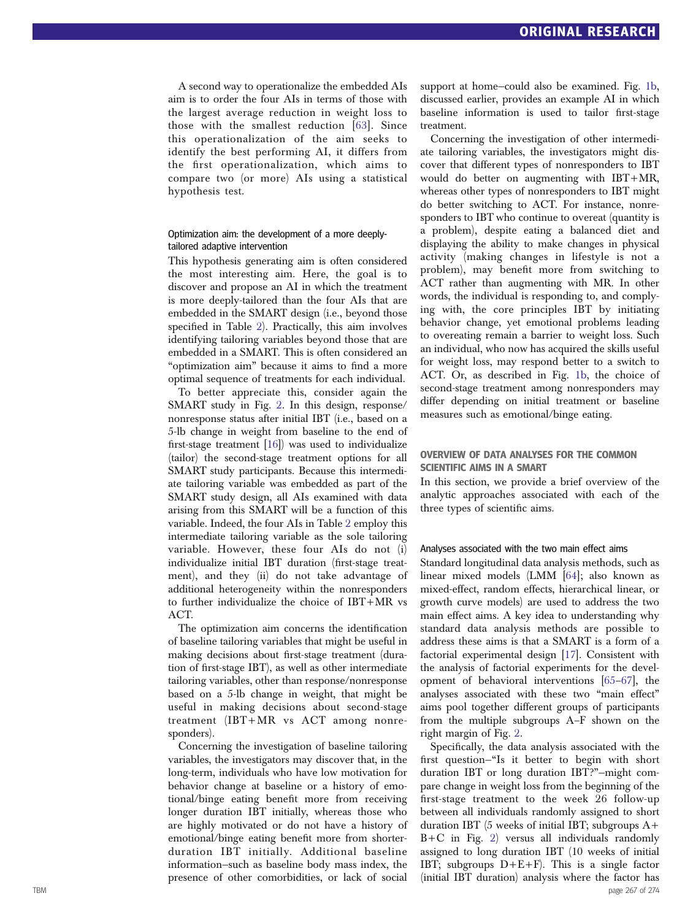<span id="page-7-0"></span>A second way to operationalize the embedded AIs aim is to order the four AIs in terms of those with the largest average reduction in weight loss to those with the smallest reduction [[63\]](#page-14-0). Since this operationalization of the aim seeks to identify the best performing AI, it differs from the first operationalization, which aims to compare two (or more) AIs using a statistical hypothesis test.

#### Optimization aim: the development of a more deeplytailored adaptive intervention

This hypothesis generating aim is often considered the most interesting aim. Here, the goal is to discover and propose an AI in which the treatment is more deeply-tailored than the four AIs that are embedded in the SMART design (i.e., beyond those speci fied in Table [2](#page-5-0)). Practically, this aim involves identifying tailoring variables beyond those that are embedded in a SMART. This is often considered an "optimization aim" because it aims to find a more optimal sequence of treatments for each individual.

To better appreciate this, consider again the SMART study in Fig. [2](#page-4-0). In this design, response/ nonresponse status after initial IBT (i.e., based on a 5-lb change in weight from baseline to the end of first-stage treatment [\[16](#page-13-0)]) was used to individualize (tailor) the second-stage treatment options for all SMART study participants. Because this intermediate tailoring variable was embedded as part of the SMART study design, all AIs examined with data arising from this SMART will be a function of this variable. Indeed, the four AIs in Table [2](#page-5-0) employ this intermediate tailoring variable as the sole tailoring variable. However, these four AIs do not (i) individualize initial IBT duration ( first-stage treatment), and they (ii) do not take advantage of additional heterogeneity within the nonresponders to further individualize the choice of IBT+MR vs ACT.

The optimization aim concerns the identi fication of baseline tailoring variables that might be useful in making decisions about first-stage treatment (duration of first-stage IBT), as well as other intermediate tailoring variables, other than response/nonresponse based on a 5-lb change in weight, that might be useful in making decisions about second-stage treatment (IBT+MR vs ACT among nonresponders).

Concerning the investigation of baseline tailoring variables, the investigators may discover that, in the long-term, individuals who have low motivation for behavior change at baseline or a history of emotional/binge eating benefit more from receiving longer duration IBT initially, whereas those who are highly motivated or do not have a history of emotional/binge eating bene fit more from shorterduration IBT initially. Additional baseline information —such as baseline body mass index, the presence of other comorbidities, or lack of social

support at home —could also be examined. Fig. [1b](#page-1-0) , discussed earlier, provides an example AI in which baseline information is used to tailor first-stage treatment.

Concerning the investigation of other intermediate tailoring variables, the investigators might discover that different types of nonresponders to IBT would do better on augmenting with IBT+MR, whereas other types of nonresponders to IBT might do better switching to ACT. For instance, nonresponders to IBT who continue to overeat (quantity is a problem), despite eating a balanced diet and displaying the ability to make changes in physical activity (making changes in lifestyle is not a problem), may bene fit more from switching to ACT rather than augmenting with MR. In other words, the individual is responding to, and complying with, the core principles IBT by initiating behavior change, yet emotional problems leading to overeating remain a barrier to weight loss. Such an individual, who now has acquired the skills useful for weight loss, may respond better to a switch to ACT. Or, as described in Fig. [1b](#page-1-0), the choice of second-stage treatment among nonresponders may differ depending on initial treatment or baseline measures such as emotional/binge eating.

#### **OVERVIEW OF DATA ANALYSES FOR THE COMMON SCIENTIFIC AIMS IN A SMART**

In this section, we provide a brief overview of the analytic approaches associated with each of the three types of scienti fic aims.

#### Analyses associated with the two main effect aims

Standard longitudinal data analysis methods, such as linear mixed models (LMM [\[64](#page-14-0)]; also known as mixed-effect, random effects, hierarchical linear, or growth curve models) are used to address the two main effect aims. A key idea to understanding why standard data analysis methods are possible to address these aims is that a SMART is a form of a factorial experimental design [\[17](#page-13-0)]. Consistent with the analysis of factorial experiments for the development of behavioral interventions [\[65](#page-14-0)–[67\]](#page-14-0), the analyses associated with these two "main effect" aims pool together different groups of participants from the multiple subgroups A –F shown on the right margin of Fig. [2](#page-4-0) .

Speci fically, the data analysis associated with the first question—"Is it better to begin with short duration IBT or long duration IBT?"—might compare change in weight loss from the beginning of the first-stage treatment to the week 26 follow-up between all individuals randomly assigned to short duration IBT (5 weeks of initial IBT; subgroups  $A+$ B+C in Fig. [2](#page-4-0)) versus all individuals randomly assigned to long duration IBT (10 weeks of initial IBT; subgroups  $D+E+F$ ). This is a single factor (initial IBT duration) analysis where the factor has TBM page 267 of 274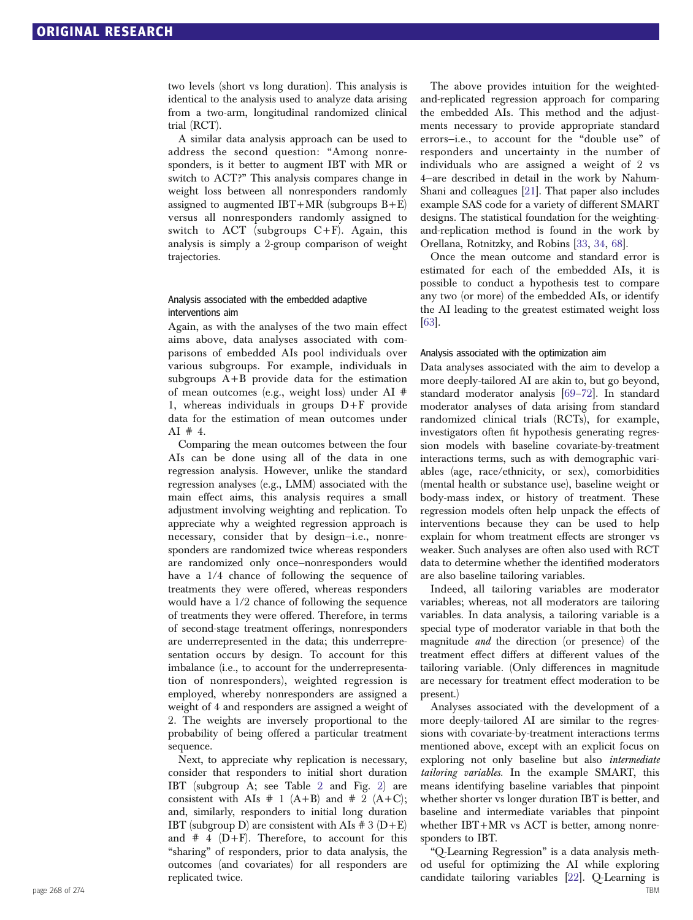two levels (short vs long duration). This analysis is identical to the analysis used to analyze data arising from a two-arm, longitudinal randomized clinical trial (RCT).

A similar data analysis approach can be used to address the second question: "Among nonresponders, is it better to augment IBT with MR or switch to ACT?" This analysis compares change in weight loss between all nonresponders randomly assigned to augmented  $IBT+MR$  (subgroups  $B+E$ ) versus all nonresponders randomly assigned to switch to ACT (subgroups  $C+F$ ). Again, this analysis is simply a 2-group comparison of weight trajectories.

#### Analysis associated with the embedded adaptive interventions aim

Again, as with the analyses of the two main effect aims above, data analyses associated with comparisons of embedded AIs pool individuals over various subgroups. For example, individuals in subgroups A+B provide data for the estimation of mean outcomes (e.g., weight loss) under AI # 1, whereas individuals in groups D+F provide data for the estimation of mean outcomes under AI # 4.

Comparing the mean outcomes between the four AIs can be done using all of the data in one regression analysis. However, unlike the standard regression analyses (e.g., LMM) associated with the main effect aims, this analysis requires a small adjustment involving weighting and replication. To appreciate why a weighted regression approach is necessary, consider that by design—i.e., nonresponders are randomized twice whereas responders are randomized only once—nonresponders would have a 1/4 chance of following the sequence of treatments they were offered, whereas responders would have a 1/2 chance of following the sequence of treatments they were offered. Therefore, in terms of second-stage treatment offerings, nonresponders are underrepresented in the data; this underrepresentation occurs by design. To account for this imbalance (i.e., to account for the underrepresentation of nonresponders), weighted regression is employed, whereby nonresponders are assigned a weight of 4 and responders are assigned a weight of 2. The weights are inversely proportional to the probability of being offered a particular treatment sequence.

Next, to appreciate why replication is necessary, consider that responders to initial short duration IBT (subgroup A; see Table [2](#page-5-0) and Fig. [2](#page-4-0)) are consistent with AIs  $# 1 (A+B)$  and  $# 2 (A+C);$ and, similarly, responders to initial long duration IBT (subgroup D) are consistent with AIs  $# 3 (D + E)$ and  $# 4$  (D+F). Therefore, to account for this "sharing" of responders, prior to data analysis, the outcomes (and covariates) for all responders are replicated twice.

The above provides intuition for the weightedand-replicated regression approach for comparing the embedded AIs. This method and the adjustments necessary to provide appropriate standard errors—i.e., to account for the "double use" of responders and uncertainty in the number of individuals who are assigned a weight of 2 vs 4—are described in detail in the work by Nahum-Shani and colleagues [[21\]](#page-13-0). That paper also includes example SAS code for a variety of different SMART designs. The statistical foundation for the weightingand-replication method is found in the work by Orellana, Rotnitzky, and Robins [[33](#page-13-0), [34](#page-13-0), [68](#page-14-0)].

Once the mean outcome and standard error is estimated for each of the embedded AIs, it is possible to conduct a hypothesis test to compare any two (or more) of the embedded AIs, or identify the AI leading to the greatest estimated weight loss [\[63\]](#page-14-0).

#### Analysis associated with the optimization aim

Data analyses associated with the aim to develop a more deeply-tailored AI are akin to, but go beyond, standard moderator analysis [\[69](#page-14-0)–[72](#page-14-0)]. In standard moderator analyses of data arising from standard randomized clinical trials (RCTs), for example, investigators often fit hypothesis generating regression models with baseline covariate-by-treatment interactions terms, such as with demographic variables (age, race/ethnicity, or sex), comorbidities (mental health or substance use), baseline weight or body-mass index, or history of treatment. These regression models often help unpack the effects of interventions because they can be used to help explain for whom treatment effects are stronger vs weaker. Such analyses are often also used with RCT data to determine whether the identified moderators are also baseline tailoring variables.

Indeed, all tailoring variables are moderator variables; whereas, not all moderators are tailoring variables. In data analysis, a tailoring variable is a special type of moderator variable in that both the magnitude and the direction (or presence) of the treatment effect differs at different values of the tailoring variable. (Only differences in magnitude are necessary for treatment effect moderation to be present.)

Analyses associated with the development of a more deeply-tailored AI are similar to the regressions with covariate-by-treatment interactions terms mentioned above, except with an explicit focus on exploring not only baseline but also intermediate tailoring variables. In the example SMART, this means identifying baseline variables that pinpoint whether shorter vs longer duration IBT is better, and baseline and intermediate variables that pinpoint whether IBT+MR vs ACT is better, among nonresponders to IBT.

"Q-Learning Regression" is a data analysis method useful for optimizing the AI while exploring candidate tailoring variables [\[22\]](#page-13-0). Q-Learning is page 268 of 274 TBM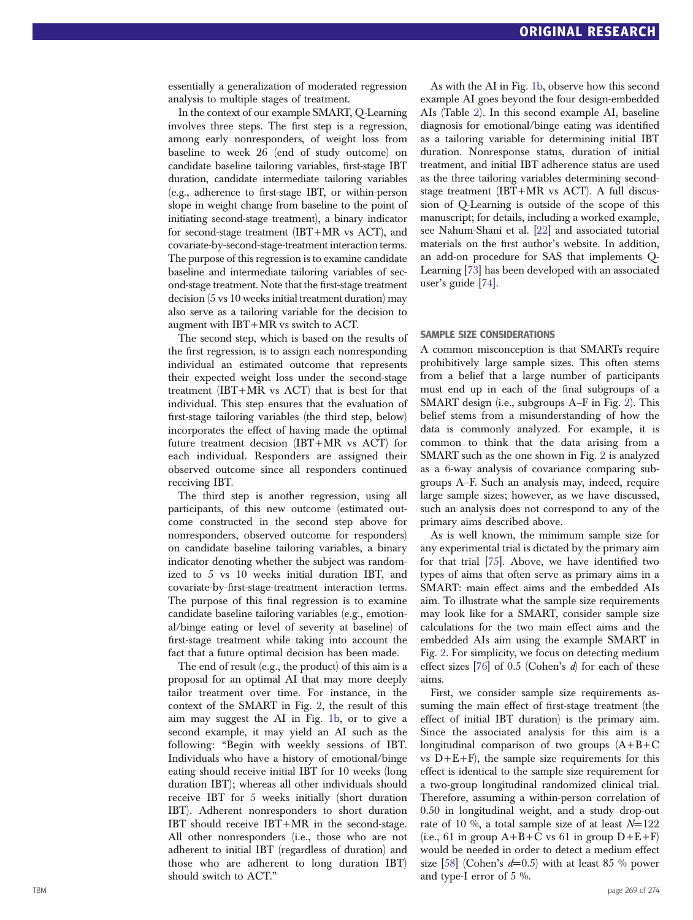essentially a generalization of moderated regression analysis to multiple stages of treatment.

In the context of our example SMART, Q-Learning involves three steps. The first step is a regression, among early nonresponders, of weight loss from baseline to week 26 (end of study outcome) on candidate baseline tailoring variables, first-stage IBT duration, candidate intermediate tailoring variables (e.g., adherence to first-stage IBT, or within-person slope in weight change from baseline to the point of initiating second-stage treatment), a binary indicator for second-stage treatment (IBT+MR vs ACT), and covariate-by-second-stage-treatment interaction terms. The purpose of this regression is to examine candidate baseline and intermediate tailoring variables of second-stage treatment. Note that the first-stage treatment decision (5 vs 10 weeks initial treatment duration) may also serve as a tailoring variable for the decision to augment with IBT+MR vs switch to ACT.

The second step, which is based on the results of the first regression, is to assign each nonresponding individual an estimated outcome that represents their expected weight loss under the second-stage treatment (IBT+MR vs ACT) that is best for that individual. This step ensures that the evaluation of first-stage tailoring variables (the third step, below) incorporates the effect of having made the optimal future treatment decision (IBT+MR vs ACT) for each individual. Responders are assigned their observed outcome since all responders continued receiving IBT.

The third step is another regression, using all participants, of this new outcome (estimated outcome constructed in the second step above for nonresponders, observed outcome for responders) on candidate baseline tailoring variables, a binary indicator denoting whether the subject was randomized to 5 vs 10 weeks initial duration IBT, and covariate-by-first-stage-treatment interaction terms. The purpose of this final regression is to examine candidate baseline tailoring variables (e.g., emotional/binge eating or level of severity at baseline) of first-stage treatment while taking into account the fact that a future optimal decision has been made.

The end of result (e.g., the product) of this aim is a proposal for an optimal AI that may more deeply tailor treatment over time. For instance, in the context of the SMART in Fig. [2,](#page-4-0) the result of this aim may suggest the AI in Fig. [1b](#page-1-0), or to give a second example, it may yield an AI such as the following: "Begin with weekly sessions of IBT. Individuals who have a history of emotional/binge eating should receive initial IBT for 10 weeks (long duration IBT); whereas all other individuals should receive IBT for 5 weeks initially (short duration IBT). Adherent nonresponders to short duration IBT should receive IBT+MR in the second-stage. All other nonresponders (i.e., those who are not adherent to initial IBT (regardless of duration) and those who are adherent to long duration IBT) should switch to ACT. "

As with the AI in Fig. [1b,](#page-1-0) observe how this second example AI goes beyond the four design-embedded AIs (Table [2](#page-5-0)). In this second example AI, baseline diagnosis for emotional/binge eating was identi fied as a tailoring variable for determining initial IBT duration. Nonresponse status, duration of initial treatment, and initial IBT adherence status are used as the three tailoring variables determining secondstage treatment (IBT+MR vs ACT). A full discussion of Q-Learning is outside of the scope of this manuscript; for details, including a worked example, see Nahum-Shani et al. [\[22](#page-13-0)] and associated tutorial materials on the first author 's website. In addition, an add-on procedure for SAS that implements Q-Learning [[73](#page-14-0)] has been developed with an associated user 's guide [[74\]](#page-14-0).

A common misconception is that SMARTs require prohibitively large sample sizes. This often stems from a belief that a large number of participants must end up in each of the final subgroups of a SMART design (i.e., subgroups A –F in Fig. [2\)](#page-4-0). This belief stems from a misunderstanding of how the data is commonly analyzed. For example, it is common to think that the data arising from a SMART such as the one shown in Fig. [2](#page-4-0) is analyzed as a 6-way analysis of covariance comparing subgroups A–F. Such an analysis may, indeed, require large sample sizes; however, as we have discussed, such an analysis does not correspond to any of the primary aims described above.

As is well known, the minimum sample size for any experimental trial is dictated by the primary aim for that trial [[75](#page-14-0)]. Above, we have identi fied two types of aims that often serve as primary aims in a SMART: main effect aims and the embedded AIs aim. To illustrate what the sample size requirements may look like for a SMART, consider sample size calculations for the two main effect aims and the embedded AIs aim using the example SMART in Fig. [2](#page-4-0). For simplicity, we focus on detecting medium effect sizes [\[76](#page-14-0)] of 0.5 (Cohen's  $d$ ) for each of these aims.

First, we consider sample size requirements assuming the main effect of first-stage treatment (the effect of initial IBT duration) is the primary aim. Since the associated analysis for this aim is a longitudinal comparison of two groups (A+B+C vs  $D+E+F$ , the sample size requirements for this effect is identical to the sample size requirement for a two-group longitudinal randomized clinical trial. Therefore, assuming a within-person correlation of 0.50 in longitudinal weight, and a study drop-out rate of 10 %, a total sample size of at least  $N=122$ (i.e., 61 in group  $A+B+C$  vs 61 in group  $D+E+F$ ) would be needed in order to detect a medium effect size [[58\]](#page-13-0) (Cohen's  $d=0.5$ ) with at least 85 % power and type-I error of 5 %.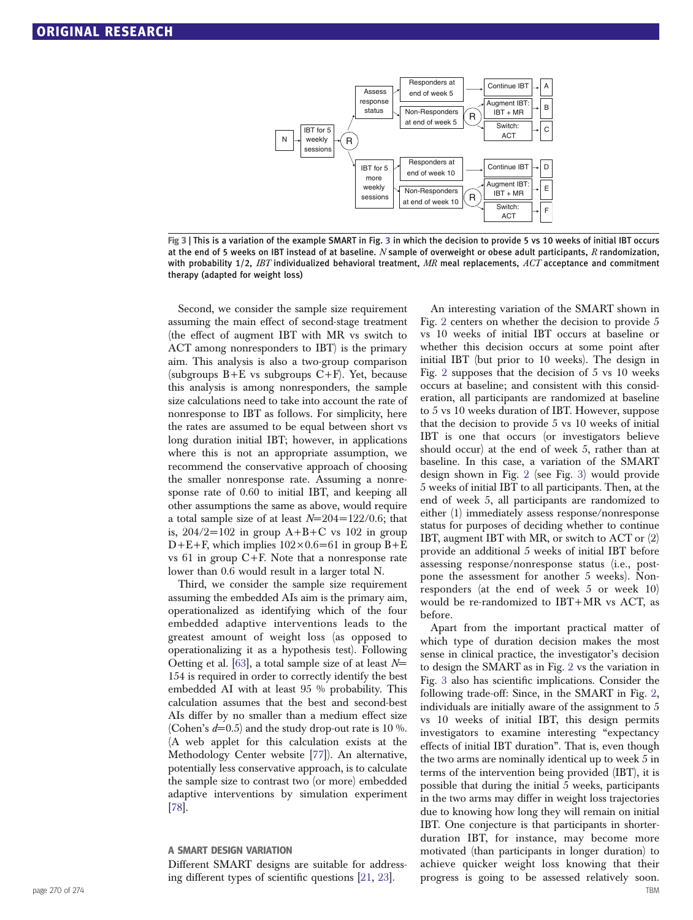<span id="page-10-0"></span>

Fig 3 | This is a variation of the example SMART in Fig. <sup>3</sup> in which the decision to provide 5 vs 10 weeks of initial IBT occurs at the end of 5 weeks on IBT instead of at baseline.  $N$  sample of overweight or obese adult participants,  $R$  randomization, with probability 1/2, IBT individualized behavioral treatment, MR meal replacements, ACT acceptance and commitment therapy (adapted for weight loss)

Second, we consider the sample size requirement assuming the main effect of second-stage treatment (the effect of augment IBT with MR vs switch to ACT among nonresponders to IBT) is the primary aim. This analysis is also a two-group comparison (subgroups  $B+E$  vs subgroups  $C+F$ ). Yet, because this analysis is among nonresponders, the sample size calculations need to take into account the rate of nonresponse to IBT as follows. For simplicity, here the rates are assumed to be equal between short vs long duration initial IBT; however, in applications where this is not an appropriate assumption, we recommend the conservative approach of choosing the smaller nonresponse rate. Assuming a nonresponse rate of 0.60 to initial IBT, and keeping all other assumptions the same as above, would require a total sample size of at least  $N=204=122/0.6$ ; that is,  $204/2=102$  in group  $A+B+C$  vs 102 in group  $D+E+F$ , which implies  $102\times0.6=61$  in group  $B+E$ vs 61 in group C+F. Note that a nonresponse rate lower than 0.6 would result in a larger total N.

Third, we consider the sample size requirement assuming the embedded AIs aim is the primary aim, operationalized as identifying which of the four embedded adaptive interventions leads to the greatest amount of weight loss (as opposed to operationalizing it as a hypothesis test). Following Oetting et al. [\[63\]](#page-14-0), a total sample size of at least  $N=$ 154 is required in order to correctly identify the best embedded AI with at least 95 % probability. This calculation assumes that the best and second-best AIs differ by no smaller than a medium effect size (Cohen's  $d=0.5$ ) and the study drop-out rate is 10 %. (A web applet for this calculation exists at the Methodology Center website [[77](#page-14-0)]). An alternative, potentially less conservative approach, is to calculate the sample size to contrast two (or more) embedded adaptive interventions by simulation experiment [\[78\]](#page-14-0).

#### A SMART DESIGN VARIATION

A SMART DESIGN VARIATION Different SMART designs are suitable for addressing different types of scientific questions [[21,](#page-13-0) [23\]](#page-13-0).

An interesting variation of the SMART shown in Fig. [2](#page-4-0) centers on whether the decision to provide 5 vs 10 weeks of initial IBT occurs at baseline or whether this decision occurs at some point after initial IBT (but prior to 10 weeks). The design in Fig. [2](#page-4-0) supposes that the decision of 5 vs 10 weeks occurs at baseline; and consistent with this consideration, all participants are randomized at baseline to 5 vs 10 weeks duration of IBT. However, suppose that the decision to provide 5 vs 10 weeks of initial IBT is one that occurs (or investigators believe should occur) at the end of week 5, rather than at baseline. In this case, a variation of the SMART design shown in Fig. [2](#page-4-0) (see Fig. 3) would provide 5 weeks of initial IBT to all participants. Then, at the end of week 5, all participants are randomized to either (1) immediately assess response/nonresponse status for purposes of deciding whether to continue IBT, augment IBT with MR, or switch to ACT or (2) provide an additional 5 weeks of initial IBT before assessing response/nonresponse status (i.e., postpone the assessment for another 5 weeks). Nonresponders (at the end of week 5 or week 10) would be re-randomized to IBT+MR vs ACT, as before.

Apart from the important practical matter of which type of duration decision makes the most sense in clinical practice, the investigator's decision to design the SMART as in Fig. [2](#page-4-0) vs the variation in Fig. 3 also has scientific implications. Consider the following trade-off: Since, in the SMART in Fig. [2,](#page-4-0) individuals are initially aware of the assignment to 5 vs 10 weeks of initial IBT, this design permits investigators to examine interesting "expectancy effects of initial IBT duration". That is, even though the two arms are nominally identical up to week 5 in terms of the intervention being provided (IBT), it is possible that during the initial 5 weeks, participants in the two arms may differ in weight loss trajectories due to knowing how long they will remain on initial IBT. One conjecture is that participants in shorterduration IBT, for instance, may become more motivated (than participants in longer duration) to achieve quicker weight loss knowing that their progress is going to be assessed relatively soon.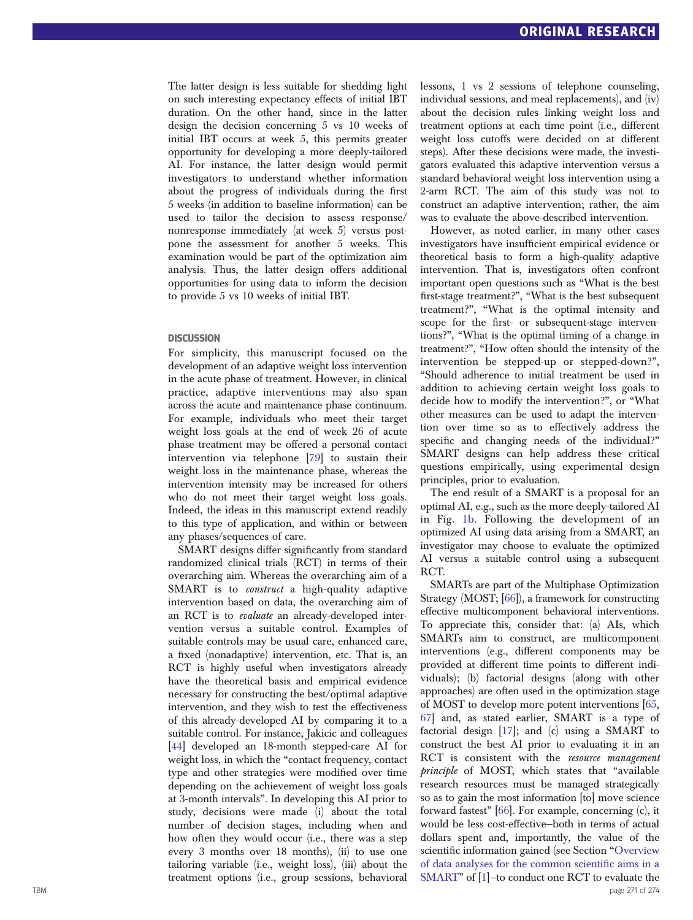The latter design is less suitable for shedding light on such interesting expectancy effects of initial IBT duration. On the other hand, since in the latter design the decision concerning 5 vs 10 weeks of initial IBT occurs at week 5, this permits greater opportunity for developing a more deeply-tailored AI. For instance, the latter design would permit investigators to understand whether information about the progress of individuals during the first 5 weeks (in addition to baseline information) can be used to tailor the decision to assess response/ nonresponse immediately (at week 5) versus postpone the assessment for another 5 weeks. This examination would be part of the optimization aim analysis. Thus, the latter design offers additional opportunities for using data to inform the decision to provide 5 vs 10 weeks of initial IBT.

#### **DISCUSSION**

For simplicity, this manuscript focused on the development of an adaptive weight loss intervention in the acute phase of treatment. However, in clinical practice, adaptive interventions may also span across the acute and maintenance phase continuum. For example, individuals who meet their target weight loss goals at the end of week 26 of acute phase treatment may be offered a personal contact intervention via telephone [[79\]](#page-14-0) to sustain their weight loss in the maintenance phase, whereas the intervention intensity may be increased for others who do not meet their target weight loss goals. Indeed, the ideas in this manuscript extend readily to this type of application, and within or between any phases/sequences of care.

SMART designs differ signi ficantly from standard randomized clinical trials (RCT) in terms of their overarching aim. Whereas the overarching aim of a SMART is to *construct* a high-quality adaptive intervention based on data, the overarching aim of an RCT is to evaluate an already-developed intervention versus a suitable control. Examples of suitable controls may be usual care, enhanced care, a fixed (nonadaptive) intervention, etc. That is, an RCT is highly useful when investigators already have the theoretical basis and empirical evidence necessary for constructing the best/optimal adaptive intervention, and they wish to test the effectiveness of this already-developed AI by comparing it to a suitable control. For instance, Jakicic and colleagues [\[44\]](#page-13-0) developed an 18-month stepped-care AI for weight loss, in which the "contact frequency, contact type and other strategies were modi fied over time depending on the achievement of weight loss goals at 3-month intervals ". In developing this AI prior to study, decisions were made (i) about the total number of decision stages, including when and how often they would occur (i.e., there was a step every 3 months over 18 months), (ii) to use one tailoring variable (i.e., weight loss), (iii) about the treatment options (i.e., group sessions, behavioral

lessons, 1 vs 2 sessions of telephone counseling, individual sessions, and meal replacements), and (iv) about the decision rules linking weight loss and treatment options at each time point (i.e., different weight loss cutoffs were decided on at different steps). After these decisions were made, the investigators evaluated this adaptive intervention versus a standard behavioral weight loss intervention using a 2-arm RCT. The aim of this study was not to construct an adaptive intervention; rather, the aim was to evaluate the above-described intervention.

However, as noted earlier, in many other cases investigators have insufficient empirical evidence or theoretical basis to form a high-quality adaptive intervention. That is, investigators often confront important open questions such as "What is the best first-stage treatment? " , "What is the best subsequent treatment? " , "What is the optimal intensity and scope for the first- or subsequent-stage interventions?", "What is the optimal timing of a change in treatment? " , "How often should the intensity of the intervention be stepped-up or stepped-down? " , "Should adherence to initial treatment be used in addition to achieving certain weight loss goals to decide how to modify the intervention? ", or "What other measures can be used to adapt the intervention over time so as to effectively address the specific and changing needs of the individual?" SMART designs can help address these critical questions empirically, using experimental design principles, prior to evaluation.

The end result of a SMART is a proposal for an optimal AI, e.g., such as the more deeply-tailored AI in Fig. [1b.](#page-1-0) Following the development of an optimized AI using data arising from a SMART, an investigator may choose to evaluate the optimized AI versus a suitable control using a subsequent RCT.

SMARTs are part of the Multiphase Optimization Strategy (MOST; [[66](#page-14-0)]), a framework for constructing effective multicomponent behavioral interventions. To appreciate this, consider that: (a) AIs, which SMARTs aim to construct, are multicomponent interventions (e.g., different components may be provided at different time points to different individuals); (b) factorial designs (along with other approaches) are often used in the optimization stage of MOST to develop more potent interventions [[65](#page-14-0) , [67](#page-14-0)] and, as stated earlier, SMART is a type of factorial design [\[17\]](#page-13-0); and (c) using a SMART to construct the best AI prior to evaluating it in an RCT is consistent with the resource management principle of MOST, which states that "available research resources must be managed strategically so as to gain the most information [to] move science forward fastest " [\[66\]](#page-14-0). For example, concerning (c), it would be less cost-effective —both in terms of actual dollars spent and, importantly, the value of the scienti fic information gained (see Section "[Overview](#page-7-0) [of data analyses for the common scienti](#page-7-0) fic aims in a [SMART](#page-7-0) " of [ [1](#page-12-0) ] —to conduct one RCT to evaluate the TBM page 271 of 274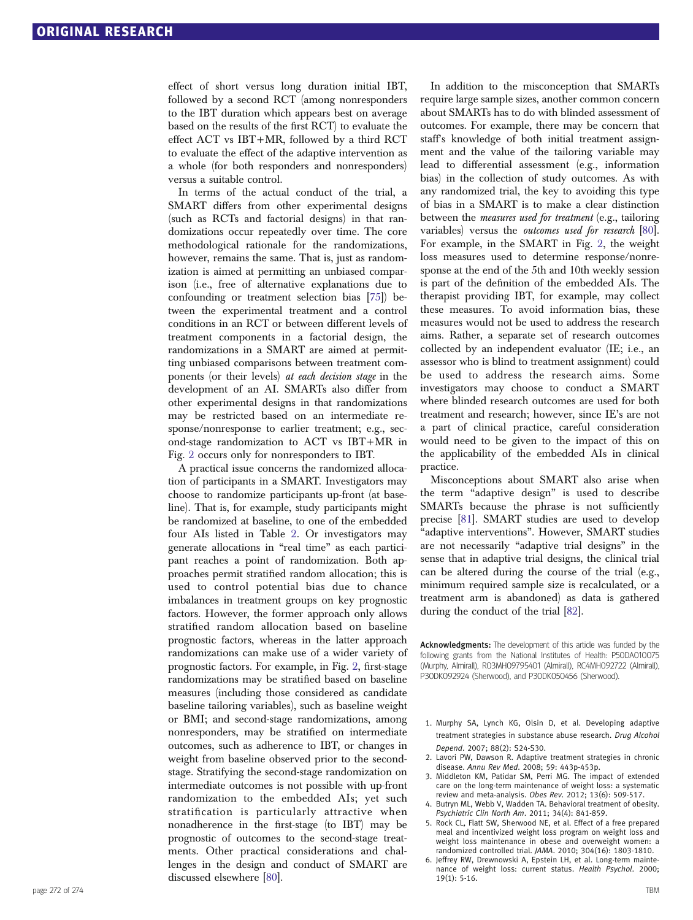<span id="page-12-0"></span>effect of short versus long duration initial IBT, followed by a second RCT (among nonresponders to the IBT duration which appears best on average based on the results of the first RCT) to evaluate the effect ACT vs IBT+MR, followed by a third RCT to evaluate the effect of the adaptive intervention as a whole (for both responders and nonresponders) versus a suitable control.

In terms of the actual conduct of the trial, a SMART differs from other experimental designs (such as RCTs and factorial designs) in that randomizations occur repeatedly over time. The core methodological rationale for the randomizations, however, remains the same. That is, just as randomization is aimed at permitting an unbiased comparison (i.e., free of alternative explanations due to confounding or treatment selection bias [[75](#page-14-0)]) between the experimental treatment and a control conditions in an RCT or between different levels of treatment components in a factorial design, the randomizations in a SMART are aimed at permitting unbiased comparisons between treatment components (or their levels) at each decision stage in the development of an AI. SMARTs also differ from other experimental designs in that randomizations may be restricted based on an intermediate response/nonresponse to earlier treatment; e.g., second-stage randomization to ACT vs IBT+MR in Fig. [2](#page-4-0) occurs only for nonresponders to IBT.

A practical issue concerns the randomized allocation of participants in a SMART. Investigators may choose to randomize participants up-front (at baseline). That is, for example, study participants might be randomized at baseline, to one of the embedded four AIs listed in Table [2](#page-5-0). Or investigators may generate allocations in "real time" as each participant reaches a point of randomization. Both approaches permit stratified random allocation; this is used to control potential bias due to chance imbalances in treatment groups on key prognostic factors. However, the former approach only allows stratified random allocation based on baseline prognostic factors, whereas in the latter approach randomizations can make use of a wider variety of prognostic factors. For example, in Fig. [2,](#page-4-0) first-stage randomizations may be stratified based on baseline measures (including those considered as candidate baseline tailoring variables), such as baseline weight or BMI; and second-stage randomizations, among nonresponders, may be stratified on intermediate outcomes, such as adherence to IBT, or changes in weight from baseline observed prior to the secondstage. Stratifying the second-stage randomization on intermediate outcomes is not possible with up-front randomization to the embedded AIs; yet such stratification is particularly attractive when nonadherence in the first-stage (to IBT) may be prognostic of outcomes to the second-stage treatments. Other practical considerations and challenges in the design and conduct of SMART are discussed elsewhere [[80](#page-14-0)].

In addition to the misconception that SMARTs require large sample sizes, another common concern about SMARTs has to do with blinded assessment of outcomes. For example, there may be concern that staff's knowledge of both initial treatment assignment and the value of the tailoring variable may lead to differential assessment (e.g., information bias) in the collection of study outcomes. As with any randomized trial, the key to avoiding this type of bias in a SMART is to make a clear distinction between the measures used for treatment (e.g., tailoring variables) versus the outcomes used for research [\[80\]](#page-14-0). For example, in the SMART in Fig. [2,](#page-4-0) the weight loss measures used to determine response/nonresponse at the end of the 5th and 10th weekly session is part of the definition of the embedded AIs. The therapist providing IBT, for example, may collect these measures. To avoid information bias, these measures would not be used to address the research aims. Rather, a separate set of research outcomes collected by an independent evaluator (IE; i.e., an assessor who is blind to treatment assignment) could be used to address the research aims. Some investigators may choose to conduct a SMART where blinded research outcomes are used for both treatment and research; however, since IE's are not a part of clinical practice, careful consideration would need to be given to the impact of this on the applicability of the embedded AIs in clinical practice.

Misconceptions about SMART also arise when the term "adaptive design" is used to describe SMARTs because the phrase is not sufficiently precise [\[81\]](#page-14-0). SMART studies are used to develop "adaptive interventions". However, SMART studies are not necessarily "adaptive trial designs" in the sense that in adaptive trial designs, the clinical trial can be altered during the course of the trial (e.g., minimum required sample size is recalculated, or a treatment arm is abandoned) as data is gathered during the conduct of the trial [\[82\]](#page-14-0).

Acknowledgments: The development of this article was funded by the following grants from the National Institutes of Health: P50DA010075 (Murphy, Almirall), R03MH09795401 (Almirall), RC4MH092722 (Almirall), P30DK092924 (Sherwood), and P30DK050456 (Sherwood).

- 1. Murphy SA, Lynch KG, Olsin D, et al. Developing adaptive treatment strategies in substance abuse research. Drug Alcohol Depend. 2007; 88(2): S24-S30.
- 2. Lavori PW, Dawson R. Adaptive treatment strategies in chronic disease. Annu Rev Med. 2008; 59: 443p-453p.
- 3. Middleton KM, Patidar SM, Perri MG. The impact of extended care on the long-term maintenance of weight loss: a systematic review and meta-analysis. Obes Rev. 2012; 13(6): 509-517.
- 4. Butryn ML, Webb V, Wadden TA. Behavioral treatment of obesity. Psychiatric Clin North Am. 2011; 34(4): 841-859.
- 5. Rock CL, Flatt SW, Sherwood NE, et al. Effect of a free prepared meal and incentivized weight loss program on weight loss and weight loss maintenance in obese and overweight women: a randomized controlled trial. JAMA. 2010; 304(16): 1803-1810.
- 6. Jeffrey RW, Drewnowski A, Epstein LH, et al. Long-term maintenance of weight loss: current status. Health Psychol. 2000; 19(1): 5-16.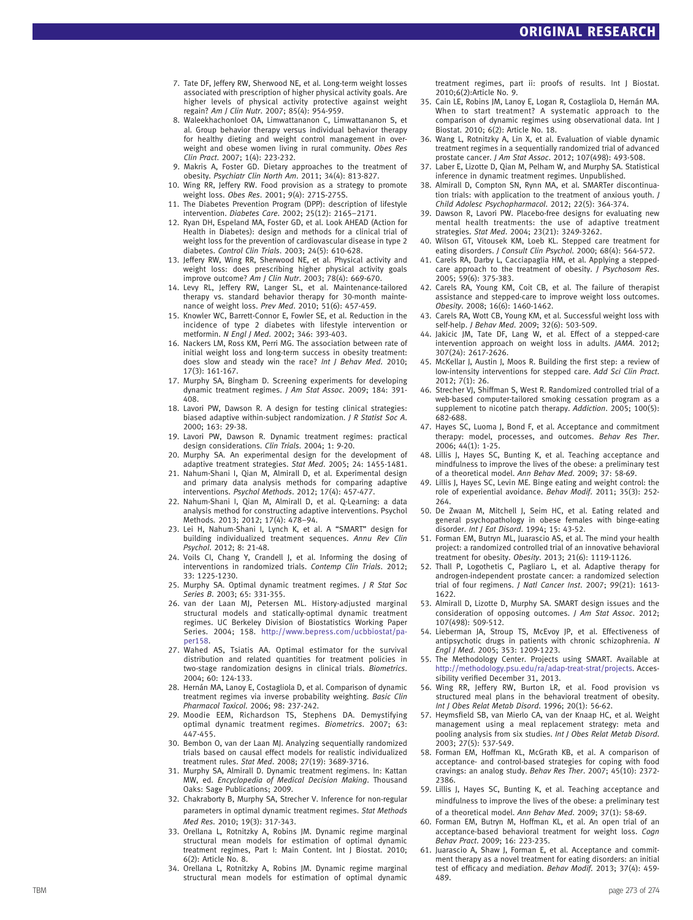- <span id="page-13-0"></span>7. Tate DF, Jeffery RW, Sherwood NE, et al. Long-term weight losses associated with prescription of higher physical activity goals. Are higher levels of physical activity protective against weight regain? Am J Clin Nutr. 2007; 85(4): 954-959.
- 8. Waleekhachonloet OA, Limwattananon C, Limwattananon S, et al. Group behavior therapy versus individual behavior therapy for healthy dieting and weight control management in overweight and obese women living in rural community. Obes Res Clin Pract. 2007; 1(4): 223-232.
- 9. Makris A, Foster GD. Dietary approaches to the treatment of obesity. Psychiatr Clin North Am. 2011; 34(4): 813-827.
- 10. Wing RR, Jeffery RW. Food provision as a strategy to promote weight loss. Obes Res. 2001; 9(4): 271S-275S.
- 11. The Diabetes Prevention Program (DPP): description of lifestyle intervention. Diabetes Care. 2002; 25(12): 2165 –2171.
- 12. Ryan DH, Espeland MA, Foster GD, et al. Look AHEAD (Action for Health in Diabetes): design and methods for a clinical trial of weight loss for the prevention of cardiovascular disease in type 2 diabetes. Control Clin Trials. 2003; 24(5): 610-628.
- 13. Jeffery RW, Wing RR, Sherwood NE, et al. Physical activity and weight loss: does prescribing higher physical activity goals improve outcome? Am J Clin Nutr. 2003; 78(4): 669-670.
- 14. Levy RL, Jeffery RW, Langer SL, et al. Maintenance-tailored therapy vs. standard behavior therapy for 30-month maintenance of weight loss. Prev Med. 2010; 51(6): 457-459.
- 15. Knowler WC, Barrett-Connor E, Fowler SE, et al. Reduction in the incidence of type 2 diabetes with lifestyle intervention or metformin. N Engl J Med. 2002; 346: 393-403.
- 16. Nackers LM, Ross KM, Perri MG. The association between rate of initial weight loss and long-term success in obesity treatment: does slow and steady win the race? Int J Behav Med. 2010; 17(3): 161-167.
- 17. Murphy SA, Bingham D. Screening experiments for developing dynamic treatment regimes. J Am Stat Assoc. 2009; 184: 391- 408.
- 18. Lavori PW, Dawson R. A design for testing clinical strategies: biased adaptive within-subject randomization. J R Statist Soc A. 2000; 163: 29-38.
- 19. Lavori PW, Dawson R. Dynamic treatment regimes: practical design considerations. Clin Trials. 2004; 1: 9-20.
- 20. Murphy SA. An experimental design for the development of adaptive treatment strategies. Stat Med. 2005; 24: 1455-1481.
- 21. Nahum-Shani I, Qian M, Almirall D, et al. Experimental design and primary data analysis methods for comparing adaptive interventions. Psychol Methods. 2012; 17(4): 457-477.
- 22. Nahum-Shani I, Qian M, Almirall D, et al. Q-Learning: a data analysis method for constructing adaptive interventions. Psychol Methods . 2013; 2012; 17(4): 478 –94.
- 23. Lei H, Nahum-Shani I, Lynch K, et al. A "SMART " design for building individualized treatment sequences. Annu Rev Clin Psychol. 2012; 8: 21-48.
- 24. Voils CI, Chang Y, Crandell J, et al. Informing the dosing of interventions in randomized trials. Contemp Clin Trials. 2012; 33: 1225-1230.
- 25. Murphy SA. Optimal dynamic treatment regimes. J R Stat Soc Series B. 2003; 65: 331-355.
- 26. van der Laan MJ, Petersen ML. History-adjusted marginal structural models and statically-optimal dynamic treatment regimes. UC Berkeley Division of Biostatistics Working Paper Series. 2004; 158. [http://www.bepress.com/ucbbiostat/pa](http://www.bepress.com/ucbbiostat/paper158)[per158](http://www.bepress.com/ucbbiostat/paper158).
- 27. Wahed AS, Tsiatis AA. Optimal estimator for the survival distribution and related quantities for treatment policies in two-stage randomization designs in clinical trials. Biometrics. 2004; 60: 124-133.
- 28. Hernán MA, Lanoy E, Costagliola D, et al. Comparison of dynamic treatment regimes via inverse probability weighting. Basic Clin Pharmacol Toxicol. 2006; 98: 237-242.
- 29. Moodie EEM, Richardson TS, Stephens DA. Demystifying optimal dynamic treatment regimes. Biometrics. 2007; 63: 447-455.
- 30. Bembon O, van der Laan MJ. Analyzing sequentially randomized trials based on causal effect models for realistic individualized treatment rules. Stat Med. 2008; 27(19): 3689-3716.
- 31. Murphy SA, Almirall D. Dynamic treatment regimens. In: Kattan MW, ed. Encyclopedia of Medical Decision Making. Thousand Oaks: Sage Publications; 2009.
- 32. Chakraborty B, Murphy SA, Strecher V. Inference for non-regular parameters in optimal dynamic treatment regimes. Stat Methods Med Res. 2010; 19(3): 317-343.
- 33. Orellana L, Rotnitzky A, Robins JM. Dynamic regime marginal structural mean models for estimation of optimal dynamic treatment regimes, Part I: Main Content. Int J Biostat. 2010; 6(2): Article No. 8.
- 34. Orellana L, Rotnitzky A, Robins JM. Dynamic regime marginal structural mean models for estimation of optimal dynamic

treatment regimes, part ii: proofs of results. Int J Biostat. 2010;6(2):Article No. 9.

- 35. Cain LE, Robins JM, Lanoy E, Logan R, Costagliola D, Hernán MA. When to start treatment? A systematic approach to the comparison of dynamic regimes using observational data. Int J Biostat. 2010; 6(2): Article No. 18.
- 36. Wang L, Rotnitzky A, Lin X, et al. Evaluation of viable dynamic treatment regimes in a sequentially randomized trial of advanced prostate cancer. J Am Stat Assoc. 2012; 107(498): 493-508.
- 37. Laber E, Lizotte D, Qian M, Pelham W, and Murphy SA. Statistical inference in dynamic treatment regimes. Unpublished.
- 38. Almirall D, Compton SN, Rynn MA, et al. SMARTer discontinuation trials: with application to the treatment of anxious youth. J Child Adolesc Psychopharmacol. 2012; 22(5): 364-374.
- 39. Dawson R, Lavori PW. Placebo-free designs for evaluating new mental health treatments: the use of adaptive treatment strategies. Stat Med. 2004; 23(21): 3249-3262.
- 40. Wilson GT, Vitousek KM, Loeb KL. Stepped care treatment for eating disorders. J Consult Clin Psychol. 2000; 68(4): 564-572.
- 41. Carels RA, Darby L, Cacciapaglia HM, et al. Applying a steppedcare approach to the treatment of obesity. J Psychosom Res. 2005; 59(6): 375-383.
- 42. Carels RA, Young KM, Coit CB, et al. The failure of therapist assistance and stepped-care to improve weight loss outcomes. Obesity. 2008; 16(6): 1460-1462.
- 43. Carels RA, Wott CB, Young KM, et al. Successful weight loss with self-help. J Behav Med. 2009; 32(6): 503-509.
- 44. Jakicic JM, Tate DF, Lang W, et al. Effect of a stepped-care intervention approach on weight loss in adults. JAMA. 2012; 307(24): 2617-2626.
- 45. McKellar J, Austin J, Moos R. Building the first step: a review of low-intensity interventions for stepped care. Add Sci Clin Pract. 2012; 7(1): 26.
- 46. Strecher VJ, Shiffman S, West R. Randomized controlled trial of a web-based computer-tailored smoking cessation program as a supplement to nicotine patch therapy. Addiction. 2005: 100(5): 682-688.
- 47. Hayes SC, Luoma J, Bond F, et al. Acceptance and commitment therapy: model, processes, and outcomes. Behav Res Ther. 2006; 44(1): 1-25.
- 48. Lillis J, Hayes SC, Bunting K, et al. Teaching acceptance and mindfulness to improve the lives of the obese: a preliminary test of a theoretical model. Ann Behav Med. 2009; 37: 58-69.
- 49. Lillis J, Hayes SC, Levin ME. Binge eating and weight control: the role of experiential avoidance. Behav Modif. 2011; 35(3): 252- 264.
- 50. De Zwaan M, Mitchell J, Seim HC, et al. Eating related and general psychopathology in obese females with binge-eating disorder. Int J Eat Disord. 1994; 15: 43-52.
- 51. Forman EM, Butryn ML, Juarascio AS, et al. The mind your health project: a randomized controlled trial of an innovative behavioral treatment for obesity. Obesity. 2013; 21(6): 1119-1126.
- 52. Thall P, Logothetis C, Pagliaro L, et al. Adaptive therapy for androgen-independent prostate cancer: a randomized selection trial of four regimens. J Natl Cancer Inst. 2007; 99(21): 1613- 1622.
- 53. Almirall D, Lizotte D, Murphy SA. SMART design issues and the consideration of opposing outcomes. J Am Stat Assoc. 2012; 107(498): 509-512.
- 54. Lieberman JA, Stroup TS, McEvoy JP, et al. Effectiveness of antipsychotic drugs in patients with chronic schizophrenia. N Engl J Med. 2005; 353: 1209-1223.
- 55. The Methodology Center. Projects using SMART. Available at [http://methodology.psu.edu/ra/adap-treat-strat/projects.](http://methodology.psu.edu/ra/adap-treat-strat/projects) Accessibility verified December 31, 2013.
- 56. Wing RR, Jeffery RW, Burton LR, et al. Food provision vs structured meal plans in the behavioral treatment of obesity. Int J Obes Relat Metab Disord. 1996; 20(1): 56-62.
- 57. Heyms field SB, van Mierlo CA, van der Knaap HC, et al. Weight management using a meal replacement strategy: meta and pooling analysis from six studies. Int J Obes Relat Metab Disord . 2003; 27(5): 537-549.
- 58. Forman EM, Hoffman KL, McGrath KB, et al. A comparison of acceptance- and control-based strategies for coping with food cravings: an analog study. Behav Res Ther. 2007; 45(10): 2372- 2386.
- 59. Lillis J, Hayes SC, Bunting K, et al. Teaching acceptance and mindfulness to improve the lives of the obese: a preliminary test of a theoretical model. Ann Behav Med. 2009; 37(1): 58-69.
- 60. Forman EM, Butryn M, Hoffman KL, et al. An open trial of an acceptance-based behavioral treatment for weight loss. Cogn Behav Pract. 2009; 16: 223-235.
- 61. Juarascio A, Shaw J, Forman E, et al. Acceptance and commitment therapy as a novel treatment for eating disorders: an initial test of efficacy and mediation. Behav Modif. 2013; 37(4): 459- 489.